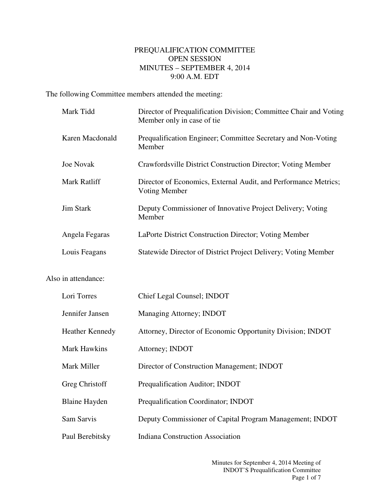## PREQUALIFICATION COMMITTEE OPEN SESSION MINUTES – SEPTEMBER 4, 2014 9:00 A.M. EDT

The following Committee members attended the meeting:

| Mark Tidd              | Director of Prequalification Division; Committee Chair and Voting<br>Member only in case of tie |
|------------------------|-------------------------------------------------------------------------------------------------|
| Karen Macdonald        | Prequalification Engineer; Committee Secretary and Non-Voting<br>Member                         |
| <b>Joe Novak</b>       | Crawfordsville District Construction Director; Voting Member                                    |
| Mark Ratliff           | Director of Economics, External Audit, and Performance Metrics;<br>Voting Member                |
| <b>Jim Stark</b>       | Deputy Commissioner of Innovative Project Delivery; Voting<br>Member                            |
| Angela Fegaras         | LaPorte District Construction Director; Voting Member                                           |
| Louis Feagans          | Statewide Director of District Project Delivery; Voting Member                                  |
| Also in attendance:    |                                                                                                 |
| Lori Torres            | Chief Legal Counsel; INDOT                                                                      |
| Jennifer Jansen        | Managing Attorney; INDOT                                                                        |
| <b>Heather Kennedy</b> | Attorney, Director of Economic Opportunity Division; INDOT                                      |
| <b>Mark Hawkins</b>    | Attorney; INDOT                                                                                 |
| Mark Miller            | Director of Construction Management; INDOT                                                      |
| Greg Christoff         | Prequalification Auditor; INDOT                                                                 |
| <b>Blaine Hayden</b>   | Prequalification Coordinator; INDOT                                                             |
| Sam Sarvis             | Deputy Commissioner of Capital Program Management; INDOT                                        |
| Paul Berebitsky        | <b>Indiana Construction Association</b>                                                         |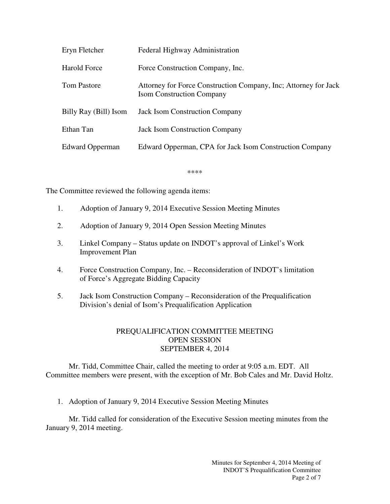| Eryn Fletcher         | Federal Highway Administration                                                                      |
|-----------------------|-----------------------------------------------------------------------------------------------------|
| <b>Harold Force</b>   | Force Construction Company, Inc.                                                                    |
| <b>Tom Pastore</b>    | Attorney for Force Construction Company, Inc; Attorney for Jack<br><b>Isom Construction Company</b> |
| Billy Ray (Bill) Isom | <b>Jack Isom Construction Company</b>                                                               |
| Ethan Tan             | <b>Jack Isom Construction Company</b>                                                               |
| Edward Opperman       | Edward Opperman, CPA for Jack Isom Construction Company                                             |

\*\*\*\*

The Committee reviewed the following agenda items:

- 1. Adoption of January 9, 2014 Executive Session Meeting Minutes
- 2. Adoption of January 9, 2014 Open Session Meeting Minutes
- 3. Linkel Company Status update on INDOT's approval of Linkel's Work Improvement Plan
- 4. Force Construction Company, Inc. Reconsideration of INDOT's limitation of Force's Aggregate Bidding Capacity
- 5. Jack Isom Construction Company Reconsideration of the Prequalification Division's denial of Isom's Prequalification Application

## PREQUALIFICATION COMMITTEE MEETING OPEN SESSION SEPTEMBER 4, 2014

Mr. Tidd, Committee Chair, called the meeting to order at 9:05 a.m. EDT. All Committee members were present, with the exception of Mr. Bob Cales and Mr. David Holtz.

1. Adoption of January 9, 2014 Executive Session Meeting Minutes

Mr. Tidd called for consideration of the Executive Session meeting minutes from the January 9, 2014 meeting.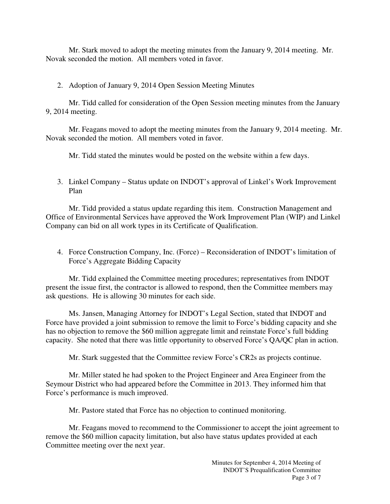Mr. Stark moved to adopt the meeting minutes from the January 9, 2014 meeting. Mr. Novak seconded the motion. All members voted in favor.

2. Adoption of January 9, 2014 Open Session Meeting Minutes

Mr. Tidd called for consideration of the Open Session meeting minutes from the January 9, 2014 meeting.

Mr. Feagans moved to adopt the meeting minutes from the January 9, 2014 meeting. Mr. Novak seconded the motion. All members voted in favor.

Mr. Tidd stated the minutes would be posted on the website within a few days.

3. Linkel Company – Status update on INDOT's approval of Linkel's Work Improvement Plan

Mr. Tidd provided a status update regarding this item. Construction Management and Office of Environmental Services have approved the Work Improvement Plan (WIP) and Linkel Company can bid on all work types in its Certificate of Qualification.

4. Force Construction Company, Inc. (Force) – Reconsideration of INDOT's limitation of Force's Aggregate Bidding Capacity

Mr. Tidd explained the Committee meeting procedures; representatives from INDOT present the issue first, the contractor is allowed to respond, then the Committee members may ask questions. He is allowing 30 minutes for each side.

Ms. Jansen, Managing Attorney for INDOT's Legal Section, stated that INDOT and Force have provided a joint submission to remove the limit to Force's bidding capacity and she has no objection to remove the \$60 million aggregate limit and reinstate Force's full bidding capacity. She noted that there was little opportunity to observed Force's QA/QC plan in action.

Mr. Stark suggested that the Committee review Force's CR2s as projects continue.

Mr. Miller stated he had spoken to the Project Engineer and Area Engineer from the Seymour District who had appeared before the Committee in 2013. They informed him that Force's performance is much improved.

Mr. Pastore stated that Force has no objection to continued monitoring.

Mr. Feagans moved to recommend to the Commissioner to accept the joint agreement to remove the \$60 million capacity limitation, but also have status updates provided at each Committee meeting over the next year.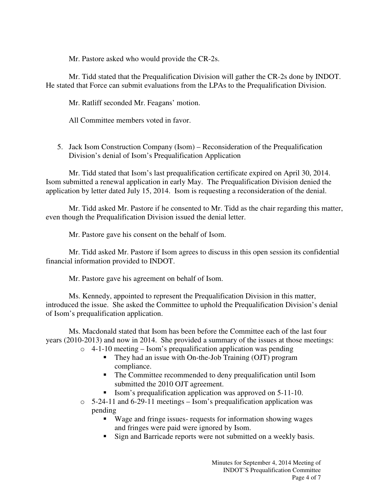Mr. Pastore asked who would provide the CR-2s.

Mr. Tidd stated that the Prequalification Division will gather the CR-2s done by INDOT. He stated that Force can submit evaluations from the LPAs to the Prequalification Division.

Mr. Ratliff seconded Mr. Feagans' motion.

All Committee members voted in favor.

5. Jack Isom Construction Company (Isom) – Reconsideration of the Prequalification Division's denial of Isom's Prequalification Application

Mr. Tidd stated that Isom's last prequalification certificate expired on April 30, 2014. Isom submitted a renewal application in early May. The Prequalification Division denied the application by letter dated July 15, 2014. Isom is requesting a reconsideration of the denial.

Mr. Tidd asked Mr. Pastore if he consented to Mr. Tidd as the chair regarding this matter, even though the Prequalification Division issued the denial letter.

Mr. Pastore gave his consent on the behalf of Isom.

Mr. Tidd asked Mr. Pastore if Isom agrees to discuss in this open session its confidential financial information provided to INDOT.

Mr. Pastore gave his agreement on behalf of Isom.

Ms. Kennedy, appointed to represent the Prequalification Division in this matter, introduced the issue. She asked the Committee to uphold the Prequalification Division's denial of Isom's prequalification application.

Ms. Macdonald stated that Isom has been before the Committee each of the last four years (2010-2013) and now in 2014. She provided a summary of the issues at those meetings:

- $\circ$  4-1-10 meeting Isom's prequalification application was pending
	- They had an issue with On-the-Job Training (OJT) program compliance.
	- The Committee recommended to deny prequalification until Isom submitted the 2010 OJT agreement.
	- Isom's prequalification application was approved on 5-11-10.
- $\circ$  5-24-11 and 6-29-11 meetings Isom's prequalification application was pending
	- Wage and fringe issues- requests for information showing wages and fringes were paid were ignored by Isom.
	- Sign and Barricade reports were not submitted on a weekly basis.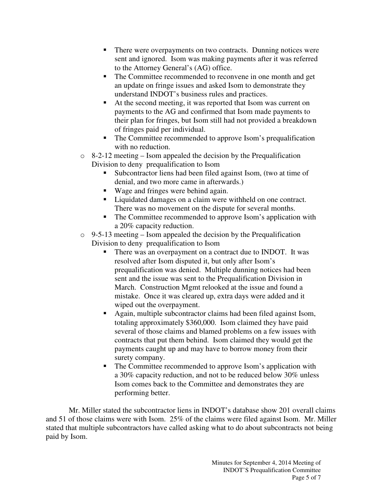- There were overpayments on two contracts. Dunning notices were sent and ignored. Isom was making payments after it was referred to the Attorney General's (AG) office.
- The Committee recommended to reconvene in one month and get an update on fringe issues and asked Isom to demonstrate they understand INDOT's business rules and practices.
- At the second meeting, it was reported that Isom was current on payments to the AG and confirmed that Isom made payments to their plan for fringes, but Isom still had not provided a breakdown of fringes paid per individual.
- The Committee recommended to approve Isom's prequalification with no reduction.
- $\circ$  8-2-12 meeting Isom appealed the decision by the Prequalification Division to deny prequalification to Isom
	- Subcontractor liens had been filed against Isom, (two at time of denial, and two more came in afterwards.)
	- Wage and fringes were behind again.
	- **Liquidated damages on a claim were withheld on one contract.** There was no movement on the dispute for several months.
	- The Committee recommended to approve Isom's application with a 20% capacity reduction.
- $\circ$  9-5-13 meeting Isom appealed the decision by the Prequalification Division to deny prequalification to Isom
	- There was an overpayment on a contract due to INDOT. It was resolved after Isom disputed it, but only after Isom's prequalification was denied. Multiple dunning notices had been sent and the issue was sent to the Prequalification Division in March. Construction Mgmt relooked at the issue and found a mistake. Once it was cleared up, extra days were added and it wiped out the overpayment.
	- Again, multiple subcontractor claims had been filed against Isom, totaling approximately \$360,000. Isom claimed they have paid several of those claims and blamed problems on a few issues with contracts that put them behind. Isom claimed they would get the payments caught up and may have to borrow money from their surety company.
	- The Committee recommended to approve Isom's application with a 30% capacity reduction, and not to be reduced below 30% unless Isom comes back to the Committee and demonstrates they are performing better.

Mr. Miller stated the subcontractor liens in INDOT's database show 201 overall claims and 51 of those claims were with Isom. 25% of the claims were filed against Isom. Mr. Miller stated that multiple subcontractors have called asking what to do about subcontracts not being paid by Isom.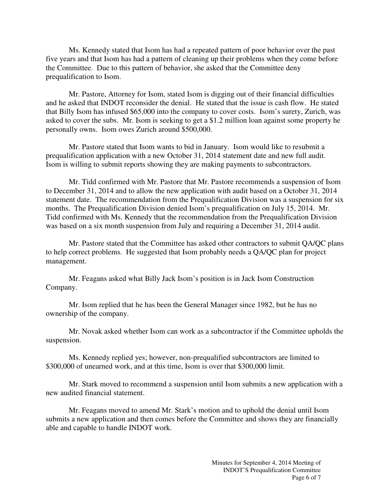Ms. Kennedy stated that Isom has had a repeated pattern of poor behavior over the past five years and that Isom has had a pattern of cleaning up their problems when they come before the Committee. Due to this pattern of behavior, she asked that the Committee deny prequalification to Isom.

Mr. Pastore, Attorney for Isom, stated Isom is digging out of their financial difficulties and he asked that INDOT reconsider the denial. He stated that the issue is cash flow. He stated that Billy Isom has infused \$65,000 into the company to cover costs. Isom's surety, Zurich, was asked to cover the subs. Mr. Isom is seeking to get a \$1.2 million loan against some property he personally owns. Isom owes Zurich around \$500,000.

Mr. Pastore stated that Isom wants to bid in January. Isom would like to resubmit a prequalification application with a new October 31, 2014 statement date and new full audit. Isom is willing to submit reports showing they are making payments to subcontractors.

Mr. Tidd confirmed with Mr. Pastore that Mr. Pastore recommends a suspension of Isom to December 31, 2014 and to allow the new application with audit based on a October 31, 2014 statement date. The recommendation from the Prequalification Division was a suspension for six months. The Prequalification Division denied Isom's prequalification on July 15, 2014. Mr. Tidd confirmed with Ms. Kennedy that the recommendation from the Prequalification Division was based on a six month suspension from July and requiring a December 31, 2014 audit.

Mr. Pastore stated that the Committee has asked other contractors to submit QA/QC plans to help correct problems. He suggested that Isom probably needs a QA/QC plan for project management.

Mr. Feagans asked what Billy Jack Isom's position is in Jack Isom Construction Company.

Mr. Isom replied that he has been the General Manager since 1982, but he has no ownership of the company.

Mr. Novak asked whether Isom can work as a subcontractor if the Committee upholds the suspension.

Ms. Kennedy replied yes; however, non-prequalified subcontractors are limited to \$300,000 of unearned work, and at this time, Isom is over that \$300,000 limit.

Mr. Stark moved to recommend a suspension until Isom submits a new application with a new audited financial statement.

Mr. Feagans moved to amend Mr. Stark's motion and to uphold the denial until Isom submits a new application and then comes before the Committee and shows they are financially able and capable to handle INDOT work.